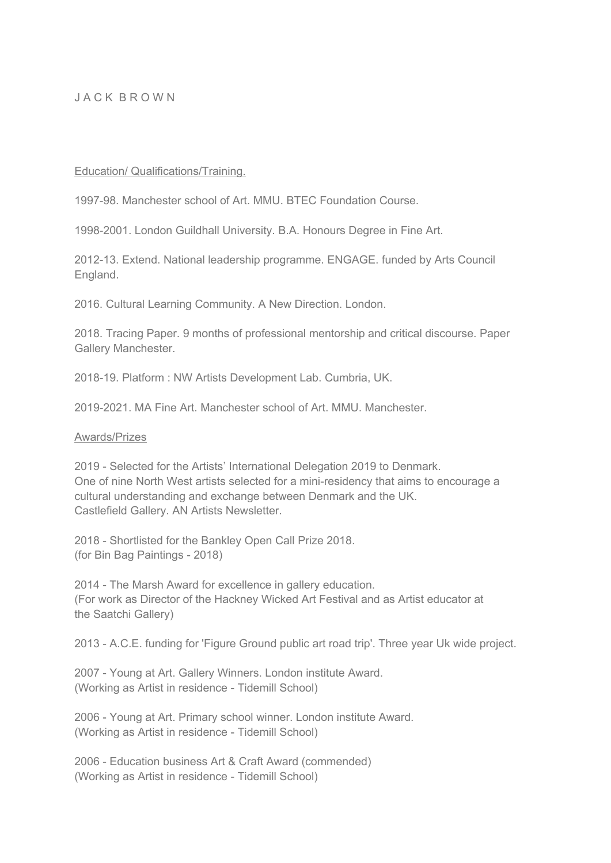### J A C K B R O W N

#### Education/ Qualifications/Training.

1997-98. Manchester school of Art. MMU. BTEC Foundation Course.

1998-2001. London Guildhall University. B.A. Honours Degree in Fine Art.

2012-13. Extend. National leadership programme. ENGAGE. funded by Arts Council England.

2016. Cultural Learning Community. A New Direction. London.

2018. Tracing Paper. 9 months of professional mentorship and critical discourse. Paper Gallery Manchester.

2018-19. Platform : NW Artists Development Lab. Cumbria, UK.

2019-2021. MA Fine Art. Manchester school of Art. MMU. Manchester.

#### Awards/Prizes

2019 - Selected for the Artists' International Delegation 2019 to Denmark. One of nine North West artists selected for a mini-residency that aims to encourage a cultural understanding and exchange between Denmark and the UK. Castlefield Gallery. AN Artists Newsletter.

2018 - Shortlisted for the Bankley Open Call Prize 2018. (for Bin Bag Paintings - 2018)

2014 - The Marsh Award for excellence in gallery education. (For work as Director of the Hackney Wicked Art Festival and as Artist educator at the Saatchi Gallery)

2013 - A.C.E. funding for 'Figure Ground public art road trip'. Three year Uk wide project.

2007 - Young at Art. Gallery Winners. London institute Award. (Working as Artist in residence - Tidemill School)

2006 - Young at Art. Primary school winner. London institute Award. (Working as Artist in residence - Tidemill School)

2006 - Education business Art & Craft Award (commended) (Working as Artist in residence - Tidemill School)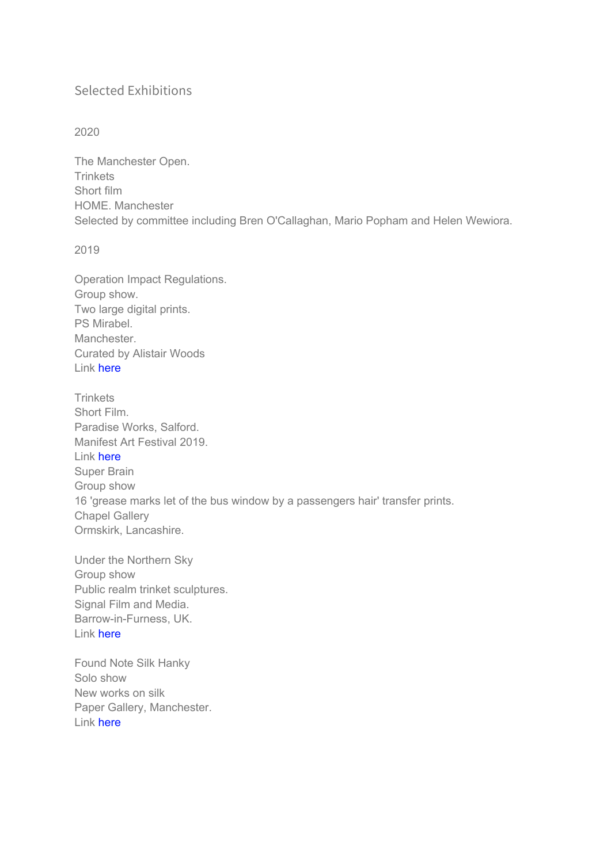# Selected Exhibitions

## 2020

The Manchester Open. Trinkets Short film HOME. Manchester Selected by committee including Bren O'Callaghan, Mario Popham and Helen Wewiora.

2019

Operation Impact Regulations. Group show. Two large digital prints. PS Mirabel. Manchester. Curated by Alistair Woods Link here

**Trinkets** Short Film. Paradise Works, Salford. Manifest Art Festival 2019. Link here Super Brain Group show 16 'grease marks let of the bus window by a passengers hair' transfer prints. Chapel Gallery Ormskirk, Lancashire.

Under the Northern Sky Group show Public realm trinket sculptures. Signal Film and Media. Barrow-in-Furness, UK. Link here

Found Note Silk Hanky Solo show New works on silk Paper Gallery, Manchester. Link here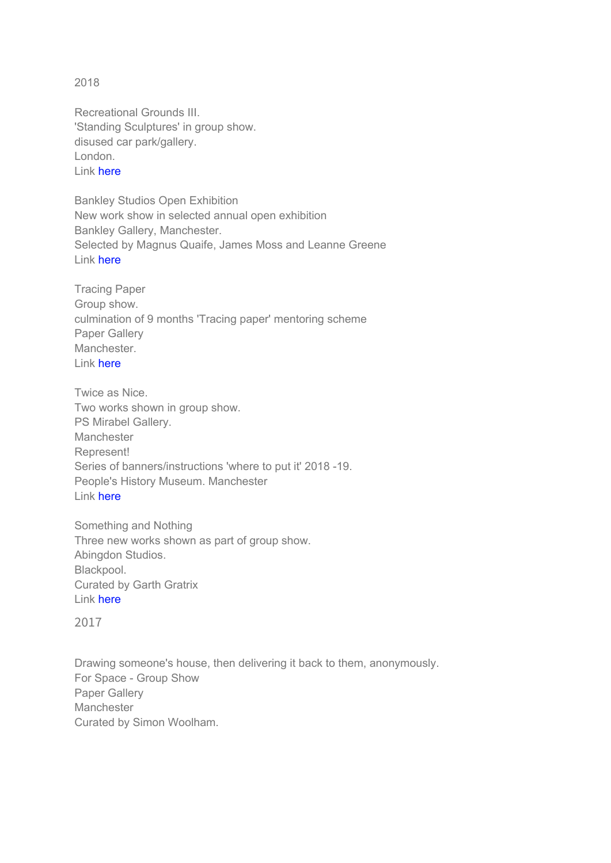2018

Recreational Grounds III. 'Standing Sculptures' in group show. disused car park/gallery. London. Link here

Bankley Studios Open Exhibition New work show in selected annual open exhibition Bankley Gallery, Manchester. Selected by Magnus Quaife, James Moss and Leanne Greene Link here

Tracing Paper Group show. culmination of 9 months 'Tracing paper' mentoring scheme Paper Gallery Manchester. Link here

Twice as Nice. Two works shown in group show. PS Mirabel Gallery. Manchester Represent! Series of banners/instructions 'where to put it' 2018 -19. People's History Museum. Manchester Link here

Something and Nothing Three new works shown as part of group show. Abingdon Studios. Blackpool. Curated by Garth Gratrix Link here

2017

Drawing someone's house, then delivering it back to them, anonymously. For Space - Group Show Paper Gallery **Manchester** Curated by Simon Woolham.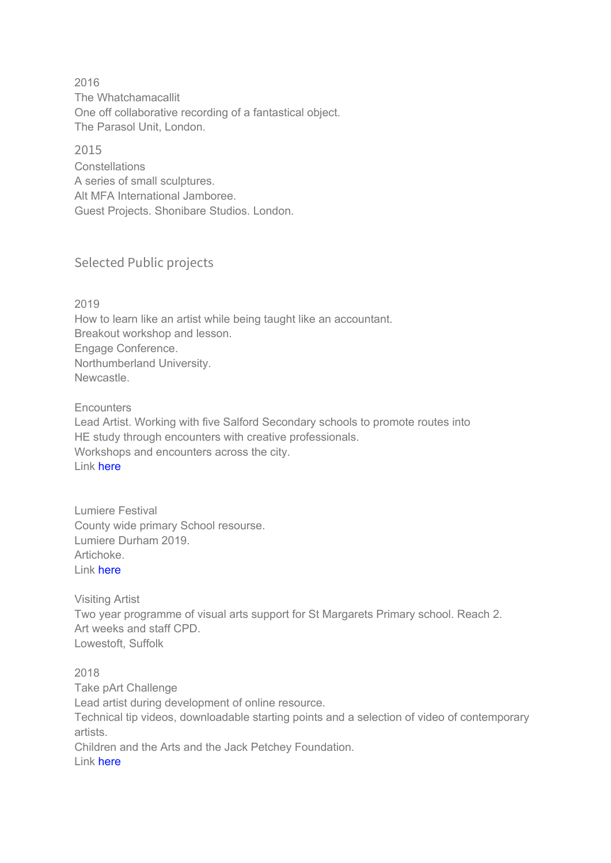2016 The Whatchamacallit One off collaborative recording of a fantastical object. The Parasol Unit, London.

2015 **Constellations** A series of small sculptures. Alt MFA International Jamboree. Guest Projects. Shonibare Studios. London.

# Selected Public projects

2019 How to learn like an artist while being taught like an accountant. Breakout workshop and lesson. Engage Conference. Northumberland University. Newcastle.

**Encounters** Lead Artist. Working with five Salford Secondary schools to promote routes into HE study through encounters with creative professionals. Workshops and encounters across the city. Link here

Lumiere Festival County wide primary School resourse. Lumiere Durham 2019. Artichoke. Link here

Visiting Artist Two year programme of visual arts support for St Margarets Primary school. Reach 2. Art weeks and staff CPD. Lowestoft, Suffolk

2018 Take pArt Challenge Lead artist during development of online resource. Technical tip videos, downloadable starting points and a selection of video of contemporary artists. Children and the Arts and the Jack Petchey Foundation. Link here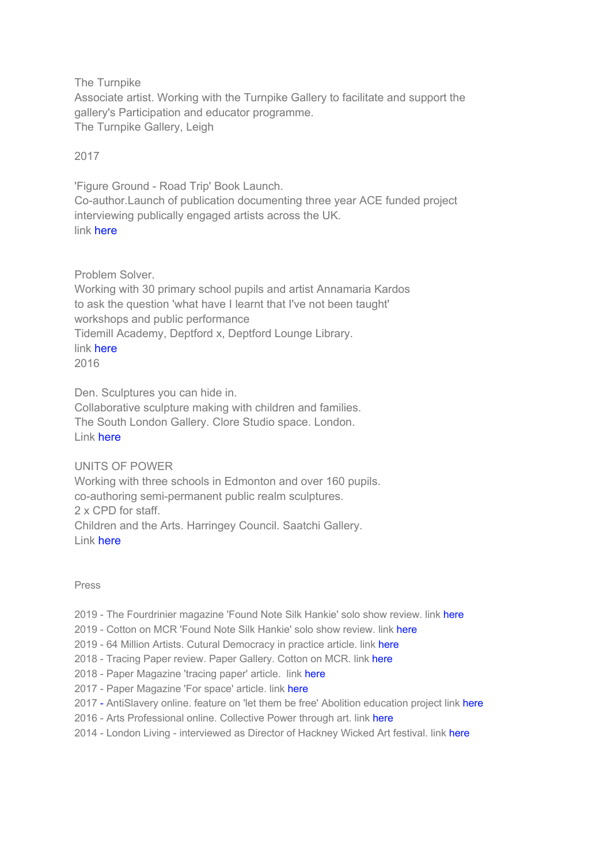The Turnpike

Associate artist. Working with the Turnpike Gallery to facilitate and support the gallery's Participation and educator programme. The Turnpike Gallery, Leigh

2017

'Figure Ground - Road Trip' Book Launch. Co-author.Launch of publication documenting three year ACE funded project interviewing publically engaged artists across the UK. link here

Problem Solver.

Working with 30 primary school pupils and artist Annamaria Kardos to ask the question 'what have I learnt that I've not been taught' workshops and public performance Tidemill Academy, Deptford x, Deptford Lounge Library. link here 2016

Den. Sculptures you can hide in. Collaborative sculpture making with children and families. The South London Gallery. Clore Studio space. London. Link here

UNITS OF POWER

Working with three schools in Edmonton and over 160 pupils. co-authoring semi-permanent public realm sculptures. 2 x CPD for staff. Children and the Arts. Harringey Council. Saatchi Gallery. Link here

### Press

- 2019 The Fourdrinier magazine 'Found Note Silk Hankie' solo show review. link here
- 2019 Cotton on MCR 'Found Note Silk Hankie' solo show review. link here
- 2019 64 Million Artists. Cutural Democracy in practice article. link here
- 2018 Tracing Paper review. Paper Gallery. Cotton on MCR. link here
- 2018 Paper Magazine 'tracing paper' article. link here
- 2017 Paper Magazine 'For space' article. link here
- 2017 AntiSlavery online. feature on 'let them be free' Abolition education project link here
- 2016 Arts Professional online. Collective Power through art. link here
- 2014 London Living interviewed as Director of Hackney Wicked Art festival. link here